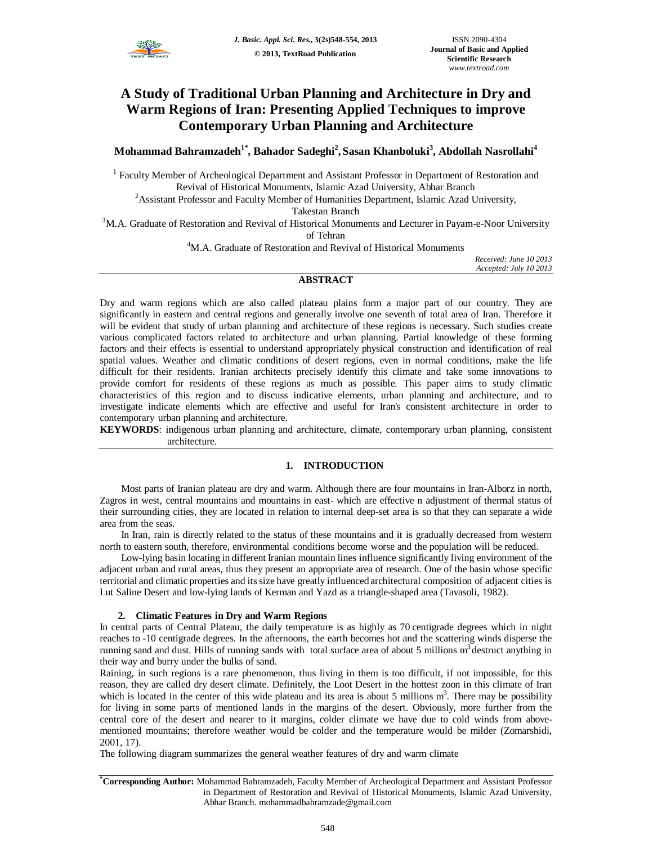

# **A Study of Traditional Urban Planning and Architecture in Dry and Warm Regions of Iran: Presenting Applied Techniques to improve Contemporary Urban Planning and Architecture**

## **Mohammad Bahramzadeh1\*, Bahador Sadeghi<sup>2</sup> , Sasan Khanboluki<sup>3</sup> , Abdollah Nasrollahi<sup>4</sup>**

<sup>1</sup> Faculty Member of Archeological Department and Assistant Professor in Department of Restoration and Revival of Historical Monuments, Islamic Azad University, Abhar Branch

<sup>2</sup>Assistant Professor and Faculty Member of Humanities Department, Islamic Azad University, Takestan Branch

 $3$ M.A. Graduate of Restoration and Revival of Historical Monuments and Lecturer in Payam-e-Noor University of Tehran

<sup>4</sup>M.A. Graduate of Restoration and Revival of Historical Monuments

*Received: June 10 2013 Accepted: July 10 2013*

### **ABSTRACT**

Dry and warm regions which are also called plateau plains form a major part of our country. They are significantly in eastern and central regions and generally involve one seventh of total area of Iran. Therefore it will be evident that study of urban planning and architecture of these regions is necessary. Such studies create various complicated factors related to architecture and urban planning. Partial knowledge of these forming factors and their effects is essential to understand appropriately physical construction and identification of real spatial values. Weather and climatic conditions of desert regions, even in normal conditions, make the life difficult for their residents. Iranian architects precisely identify this climate and take some innovations to provide comfort for residents of these regions as much as possible. This paper aims to study climatic characteristics of this region and to discuss indicative elements, urban planning and architecture, and to investigate indicate elements which are effective and useful for Iran's consistent architecture in order to contemporary urban planning and architecture.

**KEYWORDS**: indigenous urban planning and architecture, climate, contemporary urban planning, consistent architecture.

## **1. INTRODUCTION**

Most parts of Iranian plateau are dry and warm. Although there are four mountains in Iran-Alborz in north, Zagros in west, central mountains and mountains in east- which are effective n adjustment of thermal status of their surrounding cities, they are located in relation to internal deep-set area is so that they can separate a wide area from the seas.

In Iran, rain is directly related to the status of these mountains and it is gradually decreased from western north to eastern south, therefore, environmental conditions become worse and the population will be reduced.

Low-lying basin locating in different Iranian mountain lines influence significantly living environment of the adjacent urban and rural areas, thus they present an appropriate area of research. One of the basin whose specific territorial and climatic properties and its size have greatly influenced architectural composition of adjacent cities is Lut Saline Desert and low-lying lands of Kerman and Yazd as a triangle-shaped area (Tavasoli, 1982).

## **2. Climatic Features in Dry and Warm Regions**

In central parts of Central Plateau, the daily temperature is as highly as 70 centigrade degrees which in night reaches to -10 centigrade degrees. In the afternoons, the earth becomes hot and the scattering winds disperse the running sand and dust. Hills of running sands with total surface area of about 5 millions m<sup>3</sup> destruct anything in their way and burry under the bulks of sand.

Raining, in such regions is a rare phenomenon, thus living in them is too difficult, if not impossible, for this reason, they are called dry desert climate. Definitely, the Loot Desert in the hottest zoon in this climate of Iran which is located in the center of this wide plateau and its area is about 5 millions  $m<sup>3</sup>$ . There may be possibility for living in some parts of mentioned lands in the margins of the desert. Obviously, more further from the central core of the desert and nearer to it margins, colder climate we have due to cold winds from abovementioned mountains; therefore weather would be colder and the temperature would be milder (Zomarshidi, 2001, 17).

The following diagram summarizes the general weather features of dry and warm climate

**<sup>\*</sup>Corresponding Author:** Mohammad Bahramzadeh, Faculty Member of Archeological Department and Assistant Professor in Department of Restoration and Revival of Historical Monuments, Islamic Azad University, Abhar Branch. mohammadbahramzade@gmail.com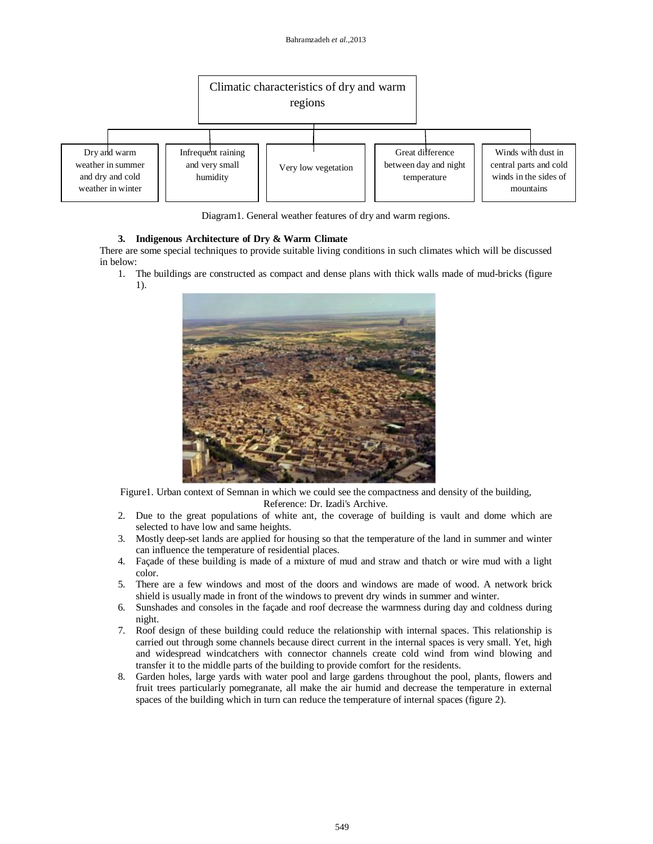

Diagram1. General weather features of dry and warm regions.

### **3. Indigenous Architecture of Dry & Warm Climate**

There are some special techniques to provide suitable living conditions in such climates which will be discussed in below:

1. The buildings are constructed as compact and dense plans with thick walls made of mud-bricks (figure 1).



Figure1. Urban context of Semnan in which we could see the compactness and density of the building, Reference: Dr. Izadi's Archive.

- 2. Due to the great populations of white ant, the coverage of building is vault and dome which are selected to have low and same heights.
- 3. Mostly deep-set lands are applied for housing so that the temperature of the land in summer and winter can influence the temperature of residential places.
- 4. Façade of these building is made of a mixture of mud and straw and thatch or wire mud with a light color.
- 5. There are a few windows and most of the doors and windows are made of wood. A network brick shield is usually made in front of the windows to prevent dry winds in summer and winter.
- 6. Sunshades and consoles in the façade and roof decrease the warmness during day and coldness during night.
- 7. Roof design of these building could reduce the relationship with internal spaces. This relationship is carried out through some channels because direct current in the internal spaces is very small. Yet, high and widespread windcatchers with connector channels create cold wind from wind blowing and transfer it to the middle parts of the building to provide comfort for the residents.
- 8. Garden holes, large yards with water pool and large gardens throughout the pool, plants, flowers and fruit trees particularly pomegranate, all make the air humid and decrease the temperature in external spaces of the building which in turn can reduce the temperature of internal spaces (figure 2).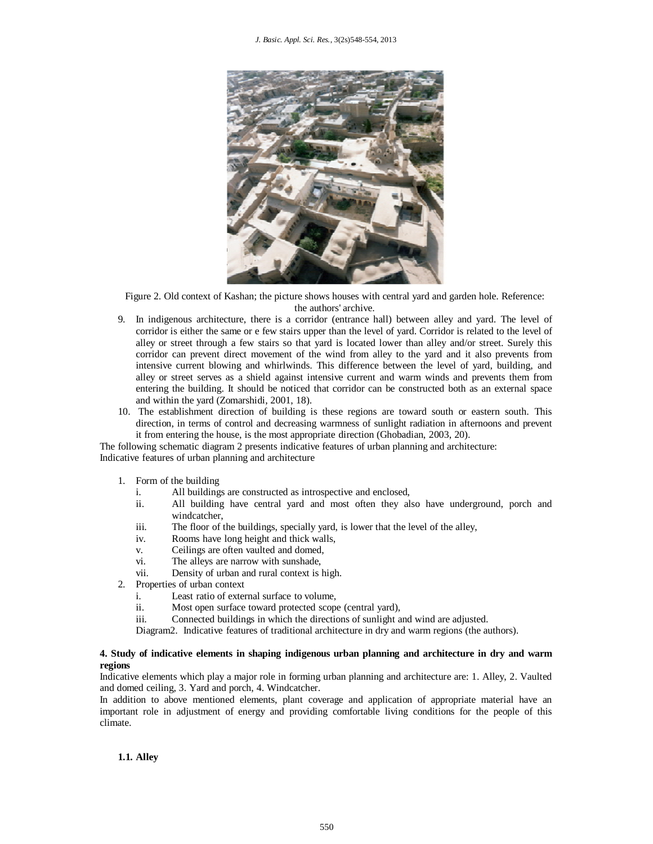

Figure 2. Old context of Kashan; the picture shows houses with central yard and garden hole. Reference: the authors' archive.

- 9. In indigenous architecture, there is a corridor (entrance hall) between alley and yard. The level of corridor is either the same or e few stairs upper than the level of yard. Corridor is related to the level of alley or street through a few stairs so that yard is located lower than alley and/or street. Surely this corridor can prevent direct movement of the wind from alley to the yard and it also prevents from intensive current blowing and whirlwinds. This difference between the level of yard, building, and alley or street serves as a shield against intensive current and warm winds and prevents them from entering the building. It should be noticed that corridor can be constructed both as an external space and within the yard (Zomarshidi, 2001, 18).
- 10. The establishment direction of building is these regions are toward south or eastern south. This direction, in terms of control and decreasing warmness of sunlight radiation in afternoons and prevent it from entering the house, is the most appropriate direction (Ghobadian, 2003, 20).

The following schematic diagram 2 presents indicative features of urban planning and architecture: Indicative features of urban planning and architecture

- 1. Form of the building
	- i. All buildings are constructed as introspective and enclosed,
	- ii. All building have central yard and most often they also have underground, porch and windcatcher,
	- iii. The floor of the buildings, specially yard, is lower that the level of the alley,
	- iv. Rooms have long height and thick walls,
	- v. Ceilings are often vaulted and domed,
	- vi. The alleys are narrow with sunshade,
	- vii. Density of urban and rural context is high.
- 2. Properties of urban context
	- i. Least ratio of external surface to volume,
	- ii. Most open surface toward protected scope (central yard),
	- iii. Connected buildings in which the directions of sunlight and wind are adjusted.

Diagram2. Indicative features of traditional architecture in dry and warm regions (the authors).

## **4. Study of indicative elements in shaping indigenous urban planning and architecture in dry and warm regions**

Indicative elements which play a major role in forming urban planning and architecture are: 1. Alley, 2. Vaulted and domed ceiling, 3. Yard and porch, 4. Windcatcher.

In addition to above mentioned elements, plant coverage and application of appropriate material have an important role in adjustment of energy and providing comfortable living conditions for the people of this climate.

**1.1. Alley**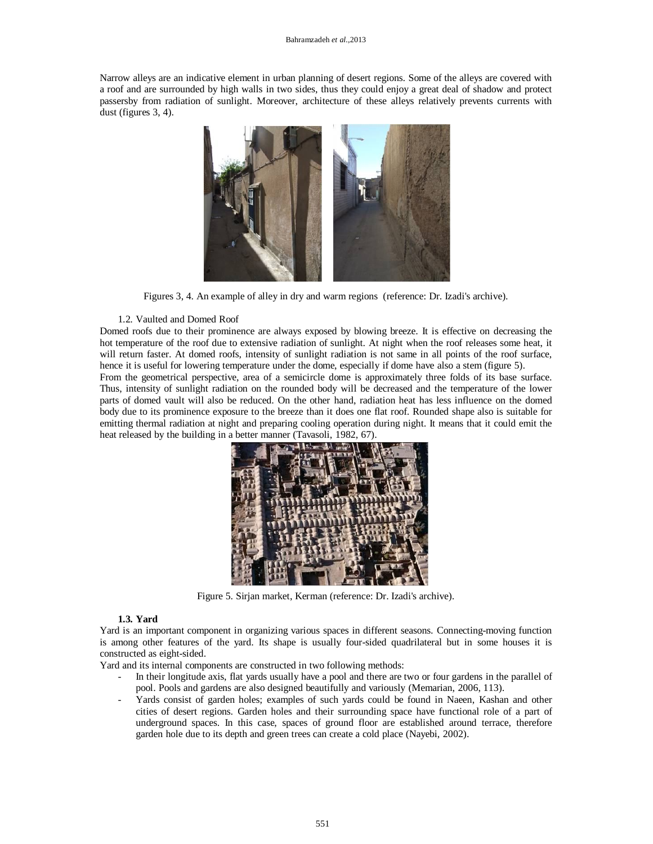Narrow alleys are an indicative element in urban planning of desert regions. Some of the alleys are covered with a roof and are surrounded by high walls in two sides, thus they could enjoy a great deal of shadow and protect passersby from radiation of sunlight. Moreover, architecture of these alleys relatively prevents currents with dust (figures 3, 4).



Figures 3, 4. An example of alley in dry and warm regions (reference: Dr. Izadi's archive).

### 1.2. Vaulted and Domed Roof

Domed roofs due to their prominence are always exposed by blowing breeze. It is effective on decreasing the hot temperature of the roof due to extensive radiation of sunlight. At night when the roof releases some heat, it will return faster. At domed roofs, intensity of sunlight radiation is not same in all points of the roof surface, hence it is useful for lowering temperature under the dome, especially if dome have also a stem (figure 5).

From the geometrical perspective, area of a semicircle dome is approximately three folds of its base surface. Thus, intensity of sunlight radiation on the rounded body will be decreased and the temperature of the lower parts of domed vault will also be reduced. On the other hand, radiation heat has less influence on the domed body due to its prominence exposure to the breeze than it does one flat roof. Rounded shape also is suitable for emitting thermal radiation at night and preparing cooling operation during night. It means that it could emit the heat released by the building in a better manner (Tavasoli, 1982, 67).



Figure 5. Sirjan market, Kerman (reference: Dr. Izadi's archive).

#### **1.3. Yard**

Yard is an important component in organizing various spaces in different seasons. Connecting-moving function is among other features of the yard. Its shape is usually four-sided quadrilateral but in some houses it is constructed as eight-sided.

Yard and its internal components are constructed in two following methods:

- In their longitude axis, flat yards usually have a pool and there are two or four gardens in the parallel of pool. Pools and gardens are also designed beautifully and variously (Memarian, 2006, 113).
- Yards consist of garden holes; examples of such yards could be found in Naeen, Kashan and other cities of desert regions. Garden holes and their surrounding space have functional role of a part of underground spaces. In this case, spaces of ground floor are established around terrace, therefore garden hole due to its depth and green trees can create a cold place (Nayebi, 2002).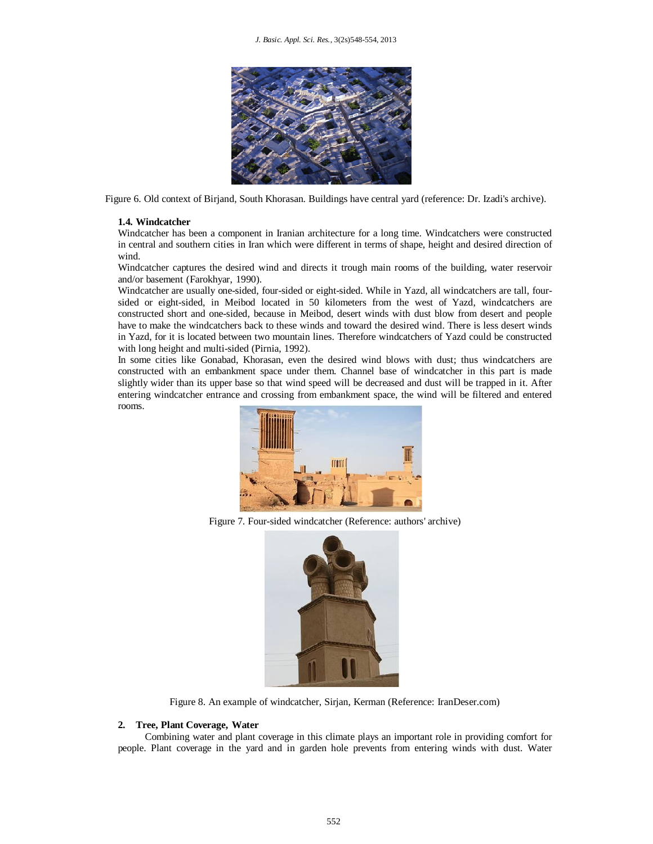

Figure 6. Old context of Birjand, South Khorasan. Buildings have central yard (reference: Dr. Izadi's archive).

#### **1.4. Windcatcher**

Windcatcher has been a component in Iranian architecture for a long time. Windcatchers were constructed in central and southern cities in Iran which were different in terms of shape, height and desired direction of wind.

Windcatcher captures the desired wind and directs it trough main rooms of the building, water reservoir and/or basement (Farokhyar, 1990).

Windcatcher are usually one-sided, four-sided or eight-sided. While in Yazd, all windcatchers are tall, foursided or eight-sided, in Meibod located in 50 kilometers from the west of Yazd, windcatchers are constructed short and one-sided, because in Meibod, desert winds with dust blow from desert and people have to make the windcatchers back to these winds and toward the desired wind. There is less desert winds in Yazd, for it is located between two mountain lines. Therefore windcatchers of Yazd could be constructed with long height and multi-sided (Pirnia, 1992).

In some cities like Gonabad, Khorasan, even the desired wind blows with dust; thus windcatchers are constructed with an embankment space under them. Channel base of windcatcher in this part is made slightly wider than its upper base so that wind speed will be decreased and dust will be trapped in it. After entering windcatcher entrance and crossing from embankment space, the wind will be filtered and entered rooms.



Figure 7. Four-sided windcatcher (Reference: authors' archive)



Figure 8. An example of windcatcher, Sirjan, Kerman (Reference: IranDeser.com)

#### **2. Tree, Plant Coverage, Water**

Combining water and plant coverage in this climate plays an important role in providing comfort for people. Plant coverage in the yard and in garden hole prevents from entering winds with dust. Water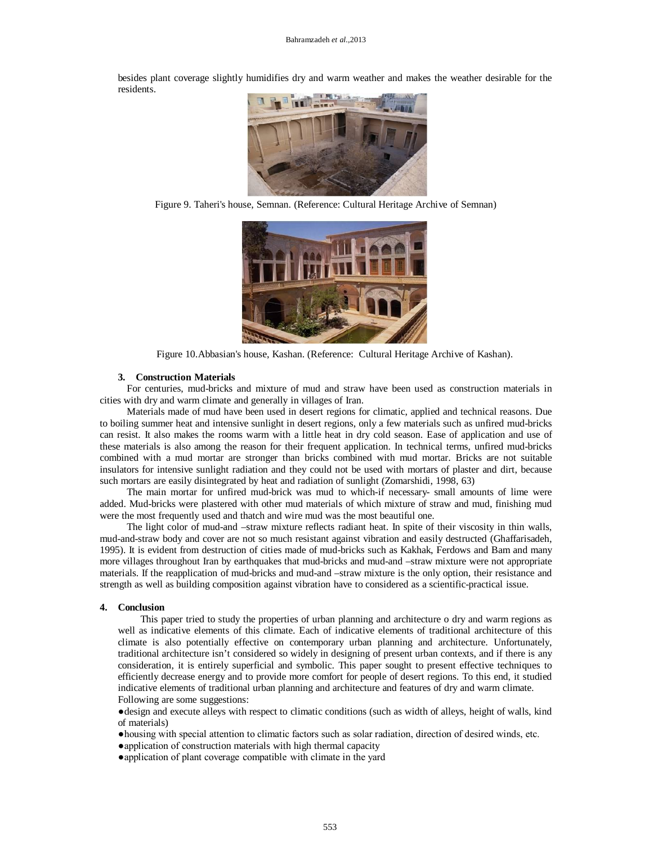besides plant coverage slightly humidifies dry and warm weather and makes the weather desirable for the residents.



Figure 9. Taheri's house, Semnan. (Reference: Cultural Heritage Archive of Semnan)



Figure 10.Abbasian's house, Kashan. (Reference: Cultural Heritage Archive of Kashan).

#### **3. Construction Materials**

For centuries, mud-bricks and mixture of mud and straw have been used as construction materials in cities with dry and warm climate and generally in villages of Iran.

Materials made of mud have been used in desert regions for climatic, applied and technical reasons. Due to boiling summer heat and intensive sunlight in desert regions, only a few materials such as unfired mud-bricks can resist. It also makes the rooms warm with a little heat in dry cold season. Ease of application and use of these materials is also among the reason for their frequent application. In technical terms, unfired mud-bricks combined with a mud mortar are stronger than bricks combined with mud mortar. Bricks are not suitable insulators for intensive sunlight radiation and they could not be used with mortars of plaster and dirt, because such mortars are easily disintegrated by heat and radiation of sunlight (Zomarshidi, 1998, 63)

The main mortar for unfired mud-brick was mud to which-if necessary- small amounts of lime were added. Mud-bricks were plastered with other mud materials of which mixture of straw and mud, finishing mud were the most frequently used and thatch and wire mud was the most beautiful one.

The light color of mud-and –straw mixture reflects radiant heat. In spite of their viscosity in thin walls, mud-and-straw body and cover are not so much resistant against vibration and easily destructed (Ghaffarisadeh, 1995). It is evident from destruction of cities made of mud-bricks such as Kakhak, Ferdows and Bam and many more villages throughout Iran by earthquakes that mud-bricks and mud-and –straw mixture were not appropriate materials. If the reapplication of mud-bricks and mud-and –straw mixture is the only option, their resistance and strength as well as building composition against vibration have to considered as a scientific-practical issue.

#### **4. Conclusion**

This paper tried to study the properties of urban planning and architecture o dry and warm regions as well as indicative elements of this climate. Each of indicative elements of traditional architecture of this climate is also potentially effective on contemporary urban planning and architecture. Unfortunately, traditional architecture isn't considered so widely in designing of present urban contexts, and if there is any consideration, it is entirely superficial and symbolic. This paper sought to present effective techniques to efficiently decrease energy and to provide more comfort for people of desert regions. To this end, it studied indicative elements of traditional urban planning and architecture and features of dry and warm climate. Following are some suggestions:

●design and execute alleys with respect to climatic conditions (such as width of alleys, height of walls, kind of materials)

●housing with special attention to climatic factors such as solar radiation, direction of desired winds, etc.

- application of construction materials with high thermal capacity
- ●application of plant coverage compatible with climate in the yard